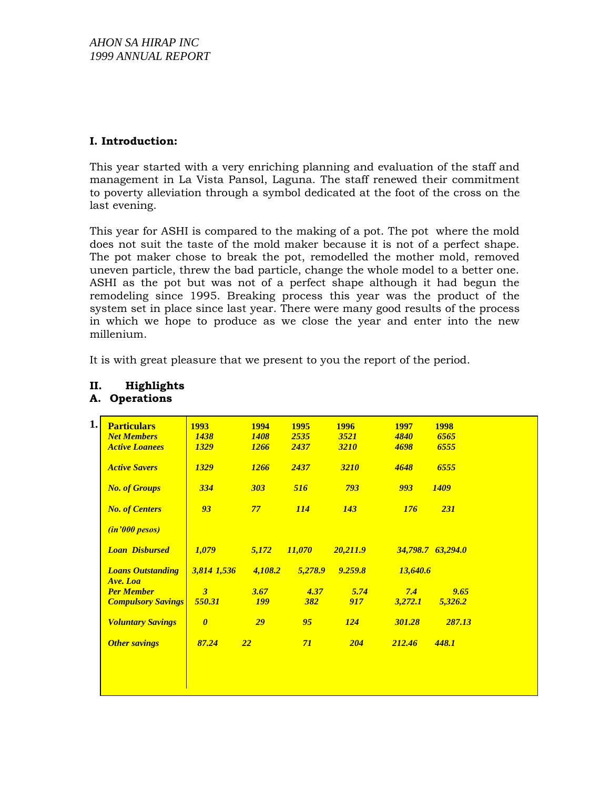## **I. Introduction:**

This year started with a very enriching planning and evaluation of the staff and management in La Vista Pansol, Laguna. The staff renewed their commitment to poverty alleviation through a symbol dedicated at the foot of the cross on the last evening.

This year for ASHI is compared to the making of a pot. The pot where the mold does not suit the taste of the mold maker because it is not of a perfect shape. The pot maker chose to break the pot, remodelled the mother mold, removed uneven particle, threw the bad particle, change the whole model to a better one. ASHI as the pot but was not of a perfect shape although it had begun the remodeling since 1995. Breaking process this year was the product of the system set in place since last year. There were many good results of the process in which we hope to produce as we close the year and enter into the new millenium.

It is with great pleasure that we present to you the report of the period.

| <b>Particulars</b>                   |                           | <b>1993</b>           | 1994        | 1995          | 1996        | <b>1997</b> | <b>1998</b>       |
|--------------------------------------|---------------------------|-----------------------|-------------|---------------|-------------|-------------|-------------------|
| <b>Net Members</b>                   |                           | <b>1438</b>           | <b>1408</b> | 2535          | 3521        | 4840        | 6565              |
|                                      | <b>Active Loanees</b>     | <b>1329</b>           | 1266        | 2437          | <b>3210</b> | 4698        | 6555              |
| <b>Active Savers</b>                 |                           | <b>1329</b>           | <b>1266</b> | 2437          | <b>3210</b> | 4648        | 6555              |
|                                      | <b>No. of Groups</b>      | 334                   | 303         | 516           | 793         | 993         | <b>1409</b>       |
|                                      | <b>No. of Centers</b>     | 93                    | 77          | <b>114</b>    | <b>143</b>  | 176         | <b>231</b>        |
|                                      | <i>(in'000 pesos)</i>     |                       |             |               |             |             |                   |
|                                      | <b>Loan Disbursed</b>     | 1,079                 | 5,172       | <i>11,070</i> | 20,211.9    |             | 34,798.7 63,294.0 |
| <b>Loans Outstanding</b><br>Ave. Loa |                           | 3,814 1,536           | 4,108.2     | 5,278.9       | 9.259.8     | 13,640.6    |                   |
| <b>Per Member</b>                    |                           | $\overline{3}$        | 3.67        | 4.37          | 5.74        | 7.4         | 9.65              |
|                                      | <b>Compulsory Savings</b> | 550.31                | <b>199</b>  | <b>382</b>    | 917         | 3,272.1     | 5,326.2           |
|                                      | <b>Voluntary Savings</b>  | $\boldsymbol{\theta}$ | 29          | 95            | 124         | 301.28      | 287.13            |
|                                      | <b>Other savings</b>      | 87.24                 | 22          | 71            | 204         | 212.46      | 448.1             |

### **II. Highlights A. Operations**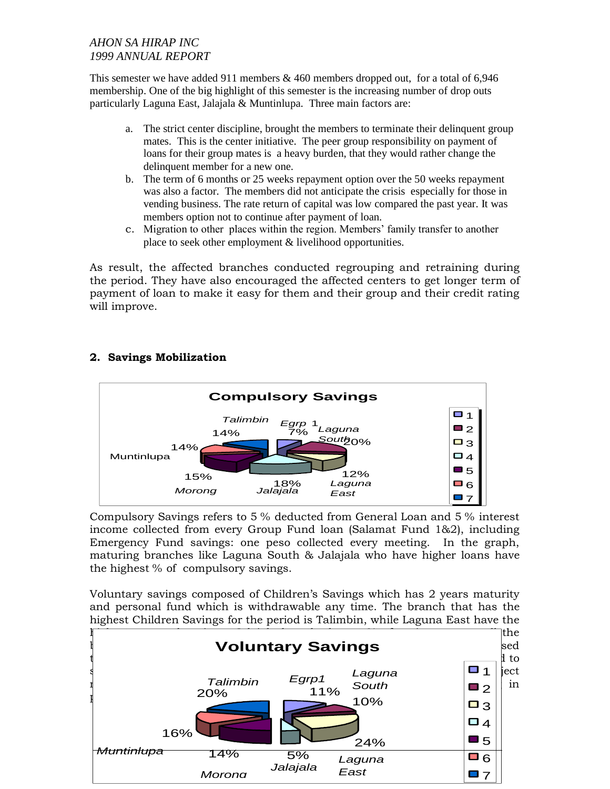# *AHON SA HIRAP INC 1999 ANNUAL REPORT*

This semester we have added 911 members  $\&$  460 members dropped out, for a total of 6,946 membership. One of the big highlight of this semester is the increasing number of drop outs particularly Laguna East, Jalajala & Muntinlupa. Three main factors are:

- a. The strict center discipline, brought the members to terminate their delinquent group mates. This is the center initiative. The peer group responsibility on payment of loans for their group mates is a heavy burden, that they would rather change the delinquent member for a new one.
- b. The term of 6 months or 25 weeks repayment option over the 50 weeks repayment was also a factor. The members did not anticipate the crisis especially for those in vending business. The rate return of capital was low compared the past year. It was members option not to continue after payment of loan.
- c. Migration to other places within the region. Members' family transfer to another place to seek other employment & livelihood opportunities.

As result, the affected branches conducted regrouping and retraining during the period. They have also encouraged the affected centers to get longer term of payment of loan to make it easy for them and their group and their credit rating will improve.

# **2. Savings Mobilization**



Compulsory Savings refers to 5 % deducted from General Loan and 5 % interest income collected from every Group Fund loan (Salamat Fund 1&2), including Emergency Fund savings: one peso collected every meeting. In the graph, maturing branches like Laguna South & Jalajala who have higher loans have the highest % of compulsory savings.

Voluntary savings composed of Children's Savings which has 2 years maturity and personal fund which is withdrawable any time. The branch that has the highest Children Savings for the period is Talimbin, while Laguna East have the

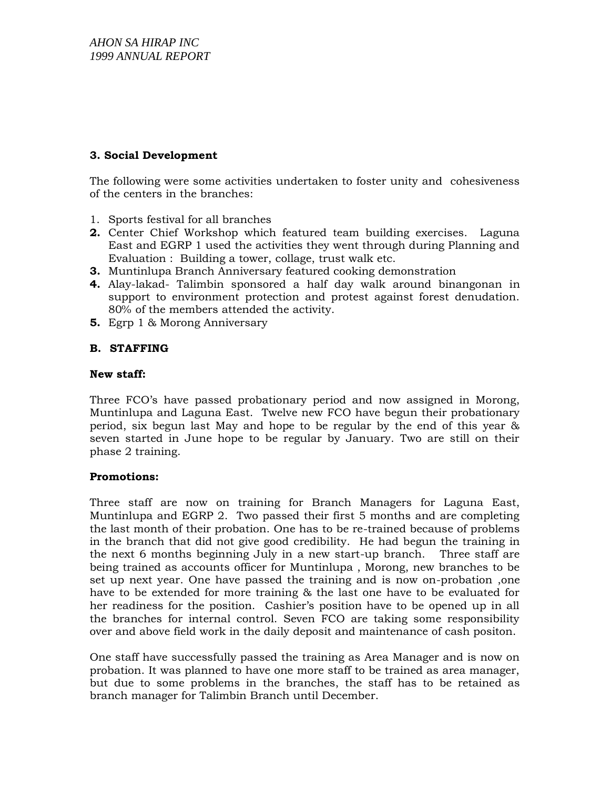## **3. Social Development**

The following were some activities undertaken to foster unity and cohesiveness of the centers in the branches:

- 1. Sports festival for all branches
- **2.** Center Chief Workshop which featured team building exercises. Laguna East and EGRP 1 used the activities they went through during Planning and Evaluation : Building a tower, collage, trust walk etc.
- **3.** Muntinlupa Branch Anniversary featured cooking demonstration
- **4.** Alay-lakad- Talimbin sponsored a half day walk around binangonan in support to environment protection and protest against forest denudation. 80% of the members attended the activity.
- **5.** Egrp 1 & Morong Anniversary

### **B. STAFFING**

#### **New staff:**

Three FCO's have passed probationary period and now assigned in Morong, Muntinlupa and Laguna East. Twelve new FCO have begun their probationary period, six begun last May and hope to be regular by the end of this year & seven started in June hope to be regular by January. Two are still on their phase 2 training.

### **Promotions:**

Three staff are now on training for Branch Managers for Laguna East, Muntinlupa and EGRP 2. Two passed their first 5 months and are completing the last month of their probation. One has to be re-trained because of problems in the branch that did not give good credibility. He had begun the training in the next 6 months beginning July in a new start-up branch. Three staff are being trained as accounts officer for Muntinlupa , Morong, new branches to be set up next year. One have passed the training and is now on-probation ,one have to be extended for more training & the last one have to be evaluated for her readiness for the position. Cashier's position have to be opened up in all the branches for internal control. Seven FCO are taking some responsibility over and above field work in the daily deposit and maintenance of cash positon.

One staff have successfully passed the training as Area Manager and is now on probation. It was planned to have one more staff to be trained as area manager, but due to some problems in the branches, the staff has to be retained as branch manager for Talimbin Branch until December.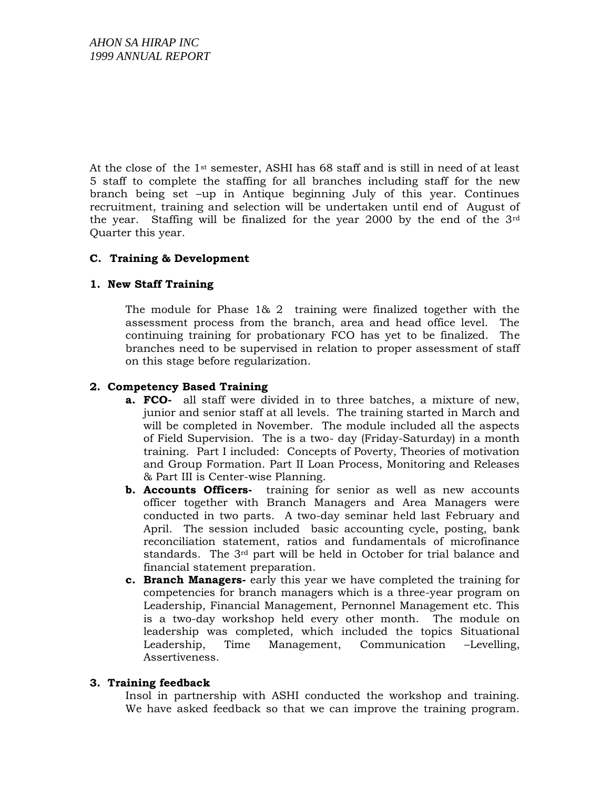At the close of the 1st semester, ASHI has 68 staff and is still in need of at least 5 staff to complete the staffing for all branches including staff for the new branch being set –up in Antique beginning July of this year. Continues recruitment, training and selection will be undertaken until end of August of the year. Staffing will be finalized for the year 2000 by the end of the 3rd Quarter this year.

### **C. Training & Development**

### **1. New Staff Training**

The module for Phase 1& 2 training were finalized together with the assessment process from the branch, area and head office level. The continuing training for probationary FCO has yet to be finalized. The branches need to be supervised in relation to proper assessment of staff on this stage before regularization.

### **2. Competency Based Training**

- **a. FCO-** all staff were divided in to three batches, a mixture of new, junior and senior staff at all levels. The training started in March and will be completed in November. The module included all the aspects of Field Supervision. The is a two- day (Friday-Saturday) in a month training. Part I included: Concepts of Poverty, Theories of motivation and Group Formation. Part II Loan Process, Monitoring and Releases & Part III is Center-wise Planning.
- **b. Accounts Officers-** training for senior as well as new accounts officer together with Branch Managers and Area Managers were conducted in two parts. A two-day seminar held last February and April. The session included basic accounting cycle, posting, bank reconciliation statement, ratios and fundamentals of microfinance standards. The 3rd part will be held in October for trial balance and financial statement preparation.
- **c. Branch Managers-** early this year we have completed the training for competencies for branch managers which is a three-year program on Leadership, Financial Management, Pernonnel Management etc. This is a two-day workshop held every other month. The module on leadership was completed, which included the topics Situational Leadership, Time Management, Communication –Levelling, Assertiveness.

### **3. Training feedback**

Insol in partnership with ASHI conducted the workshop and training. We have asked feedback so that we can improve the training program.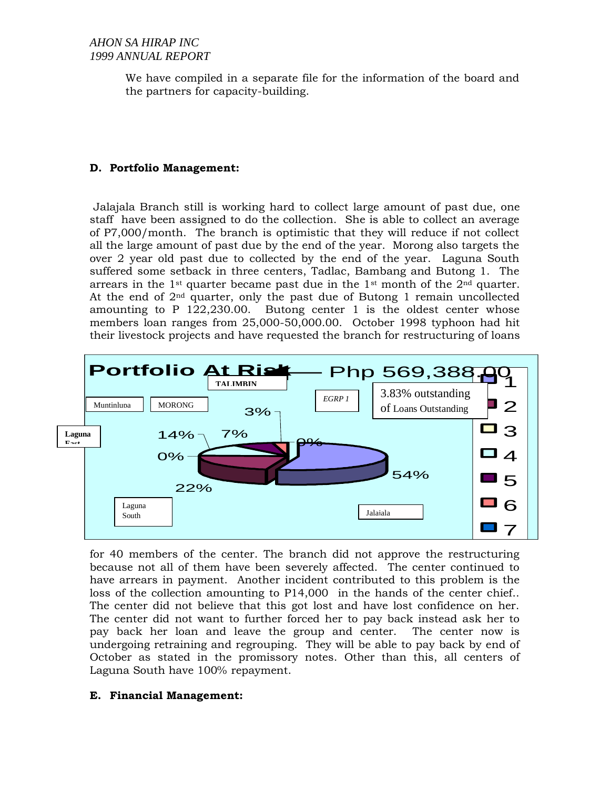We have compiled in a separate file for the information of the board and the partners for capacity-building.

#### **D. Portfolio Management:**

Jalajala Branch still is working hard to collect large amount of past due, one staff have been assigned to do the collection. She is able to collect an average of P7,000/month. The branch is optimistic that they will reduce if not collect all the large amount of past due by the end of the year. Morong also targets the over 2 year old past due to collected by the end of the year. Laguna South suffered some setback in three centers, Tadlac, Bambang and Butong 1. The arrears in the 1<sup>st</sup> quarter became past due in the 1<sup>st</sup> month of the  $2<sup>nd</sup>$  quarter. At the end of  $2<sup>nd</sup>$  quarter, only the past due of Butong 1 remain uncollected amounting to P 122,230.00. Butong center 1 is the oldest center whose members loan ranges from 25,000-50,000.00. October 1998 typhoon had hit their livestock projects and have requested the branch for restructuring of loans



for 40 members of the center. The branch did not approve the restructuring because not all of them have been severely affected. The center continued to have arrears in payment. Another incident contributed to this problem is the loss of the collection amounting to P14,000 in the hands of the center chief.. The center did not believe that this got lost and have lost confidence on her. The center did not want to further forced her to pay back instead ask her to pay back her loan and leave the group and center. The center now is undergoing retraining and regrouping. They will be able to pay back by end of October as stated in the promissory notes. Other than this, all centers of Laguna South have 100% repayment.

### **E. Financial Management:**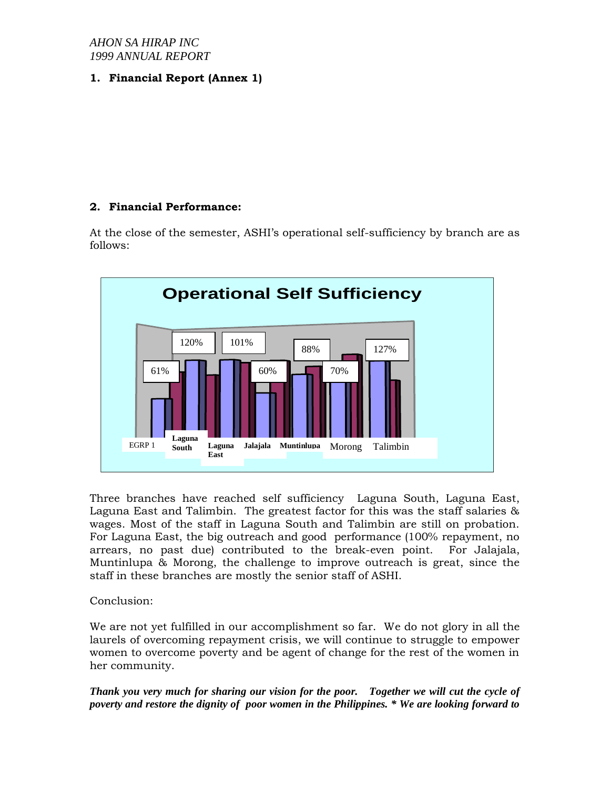### *AHON SA HIRAP INC 1999 ANNUAL REPORT*

**1. Financial Report (Annex 1)** 

# **2. Financial Performance:**

At the close of the semester, ASHI's operational self-sufficiency by branch are as follows:



Three branches have reached self sufficiency Laguna South, Laguna East, Laguna East and Talimbin. The greatest factor for this was the staff salaries & wages. Most of the staff in Laguna South and Talimbin are still on probation. For Laguna East, the big outreach and good performance (100% repayment, no arrears, no past due) contributed to the break-even point. For Jalajala, Muntinlupa & Morong, the challenge to improve outreach is great, since the staff in these branches are mostly the senior staff of ASHI.

Conclusion:

We are not yet fulfilled in our accomplishment so far. We do not glory in all the laurels of overcoming repayment crisis, we will continue to struggle to empower women to overcome poverty and be agent of change for the rest of the women in her community.

*Thank you very much for sharing our vision for the poor. Together we will cut the cycle of poverty and restore the dignity of poor women in the Philippines. \* We are looking forward to*